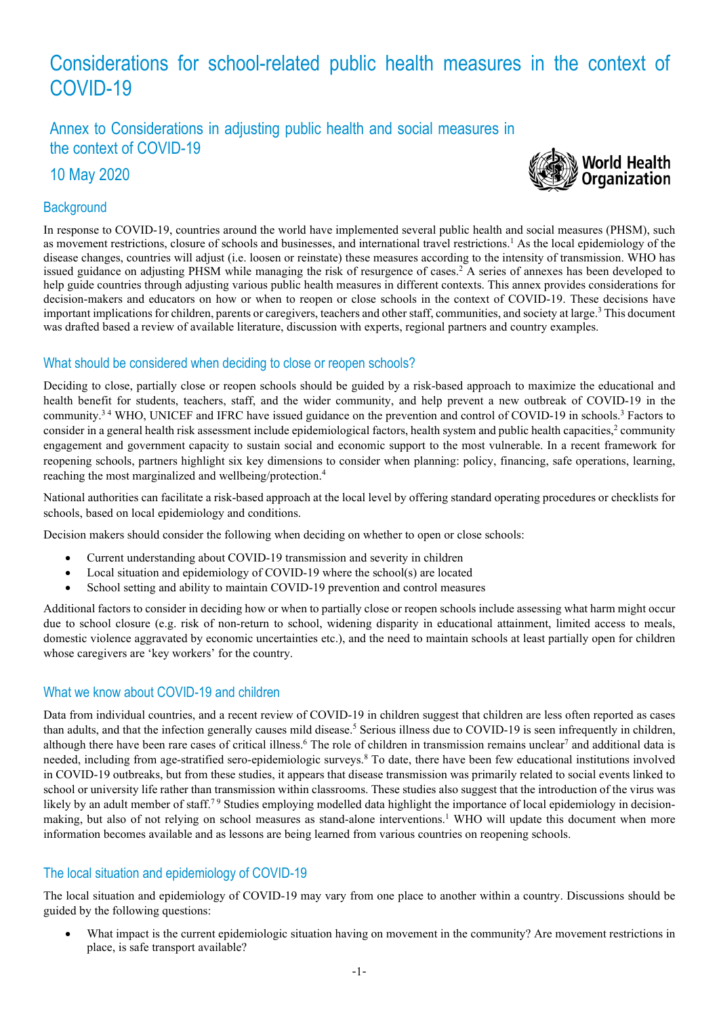# Considerations for school-related public health measures in the context of COVID-19

Annex to Considerations in adjusting public health and social measures in the context of COVID-19

10 May 2020

## **Background**



In response to COVID-19, countries around the world have implemented several public health and social measures (PHSM), such as movement restrictions, closure of schools and businesses, and international travel restrictions. <sup>1</sup> As the local epidemiology of the disease changes, countries will adjust (i.e. loosen or reinstate) these measures according to the intensity of transmission. WHO has issued guidance on adjusting PHSM while managing the risk of resurgence of cases. <sup>2</sup> A series of annexes has been developed to help guide countries through adjusting various public health measures in different contexts. This annex provides considerations for decision-makers and educators on how or when to reopen or close schools in the context of COVID-19. These decisions have important implications for children, parents or caregivers, teachers and other staff, communities, and society at large. <sup>3</sup> This document was drafted based a review of available literature, discussion with experts, regional partners and country examples.

# What should be considered when deciding to close or reopen schools?

Deciding to close, partially close or reopen schools should be guided by a risk-based approach to maximize the educational and health benefit for students, teachers, staff, and the wider community, and help prevent a new outbreak of COVID-19 in the community.<sup>34</sup> WHO, UNICEF and IFRC have issued guidance on the prevention and control of COVID-19 in schools.<sup>3</sup> Factors to consider in a general health risk assessment include epidemiological factors, health system and public health capacities,<sup>2</sup> community engagement and government capacity to sustain social and economic support to the most vulnerable. In a recent framework for reopening schools, partners highlight six key dimensions to consider when planning: policy, financing, safe operations, learning, reaching the most marginalized and wellbeing/protection. 4

National authorities can facilitate a risk-based approach at the local level by offering standard operating procedures or checklists for schools, based on local epidemiology and conditions.

Decision makers should consider the following when deciding on whether to open or close schools:

- Current understanding about COVID-19 transmission and severity in children
- Local situation and epidemiology of COVID-19 where the school(s) are located
- School setting and ability to maintain COVID-19 prevention and control measures

Additional factors to consider in deciding how or when to partially close or reopen schools include assessing what harm might occur due to school closure (e.g. risk of non-return to school, widening disparity in educational attainment, limited access to meals, domestic violence aggravated by economic uncertainties etc.), and the need to maintain schools at least partially open for children whose caregivers are 'key workers' for the country.

## What we know about COVID-19 and children

Data from individual countries, and a recent review of COVID-19 in children suggest that children are less often reported as cases than adults, and that the infection generally causes mild disease.<sup>5</sup> Serious illness due to COVID-19 is seen infrequently in children, although there have been rare cases of critical illness.<sup>6</sup> The role of children in transmission remains unclear<sup>7</sup> and additional data is needed, including from age-stratified sero-epidemiologic surveys.8 To date, there have been few educational institutions involved in COVID-19 outbreaks, but from these studies, it appears that disease transmission was primarily related to social events linked to school or university life rather than transmission within classrooms. These studies also suggest that the introduction of the virus was likely by an adult member of staff.<sup>79</sup> Studies employing modelled data highlight the importance of local epidemiology in decisionmaking, but also of not relying on school measures as stand-alone interventions.<sup>1</sup> WHO will update this document when more information becomes available and as lessons are being learned from various countries on reopening schools.

# The local situation and epidemiology of COVID-19

The local situation and epidemiology of COVID-19 may vary from one place to another within a country. Discussions should be guided by the following questions:

What impact is the current epidemiologic situation having on movement in the community? Are movement restrictions in place, is safe transport available?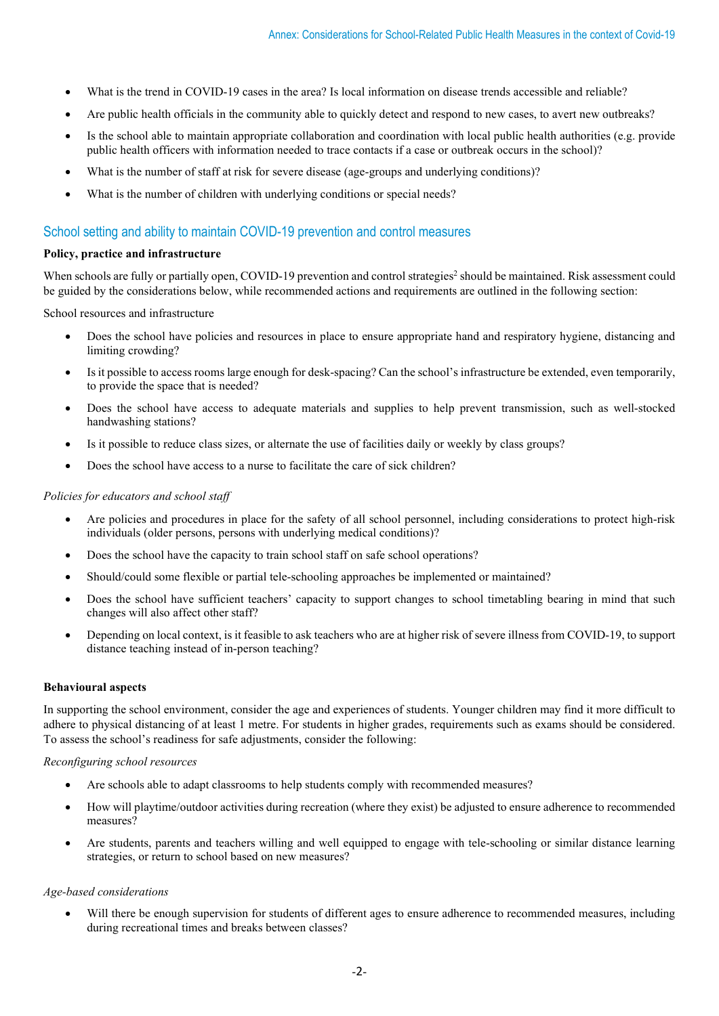- What is the trend in COVID-19 cases in the area? Is local information on disease trends accessible and reliable?
- Are public health officials in the community able to quickly detect and respond to new cases, to avert new outbreaks?
- Is the school able to maintain appropriate collaboration and coordination with local public health authorities (e.g. provide public health officers with information needed to trace contacts if a case or outbreak occurs in the school)?
- What is the number of staff at risk for severe disease (age-groups and underlying conditions)?
- What is the number of children with underlying conditions or special needs?

## School setting and ability to maintain COVID-19 prevention and control measures

#### **Policy, practice and infrastructure**

When schools are fully or partially open, COVID-19 prevention and control strategies<sup>2</sup> should be maintained. Risk assessment could be guided by the considerations below, while recommended actions and requirements are outlined in the following section:

School resources and infrastructure

- Does the school have policies and resources in place to ensure appropriate hand and respiratory hygiene, distancing and limiting crowding?
- Is it possible to access rooms large enough for desk-spacing? Can the school's infrastructure be extended, even temporarily, to provide the space that is needed?
- Does the school have access to adequate materials and supplies to help prevent transmission, such as well-stocked handwashing stations?
- Is it possible to reduce class sizes, or alternate the use of facilities daily or weekly by class groups?
- Does the school have access to a nurse to facilitate the care of sick children?

## *Policies for educators and school staff*

- Are policies and procedures in place for the safety of all school personnel, including considerations to protect high-risk individuals (older persons, persons with underlying medical conditions)?
- Does the school have the capacity to train school staff on safe school operations?
- Should/could some flexible or partial tele-schooling approaches be implemented or maintained?
- Does the school have sufficient teachers' capacity to support changes to school timetabling bearing in mind that such changes will also affect other staff?
- Depending on local context, is it feasible to ask teachers who are at higher risk of severe illness from COVID-19, to support distance teaching instead of in-person teaching?

## **Behavioural aspects**

In supporting the school environment, consider the age and experiences of students. Younger children may find it more difficult to adhere to physical distancing of at least 1 metre. For students in higher grades, requirements such as exams should be considered. To assess the school's readiness for safe adjustments, consider the following:

#### *Reconfiguring school resources*

- Are schools able to adapt classrooms to help students comply with recommended measures?
- How will playtime/outdoor activities during recreation (where they exist) be adjusted to ensure adherence to recommended measures?
- Are students, parents and teachers willing and well equipped to engage with tele-schooling or similar distance learning strategies, or return to school based on new measures?

## *Age-based considerations*

Will there be enough supervision for students of different ages to ensure adherence to recommended measures, including during recreational times and breaks between classes?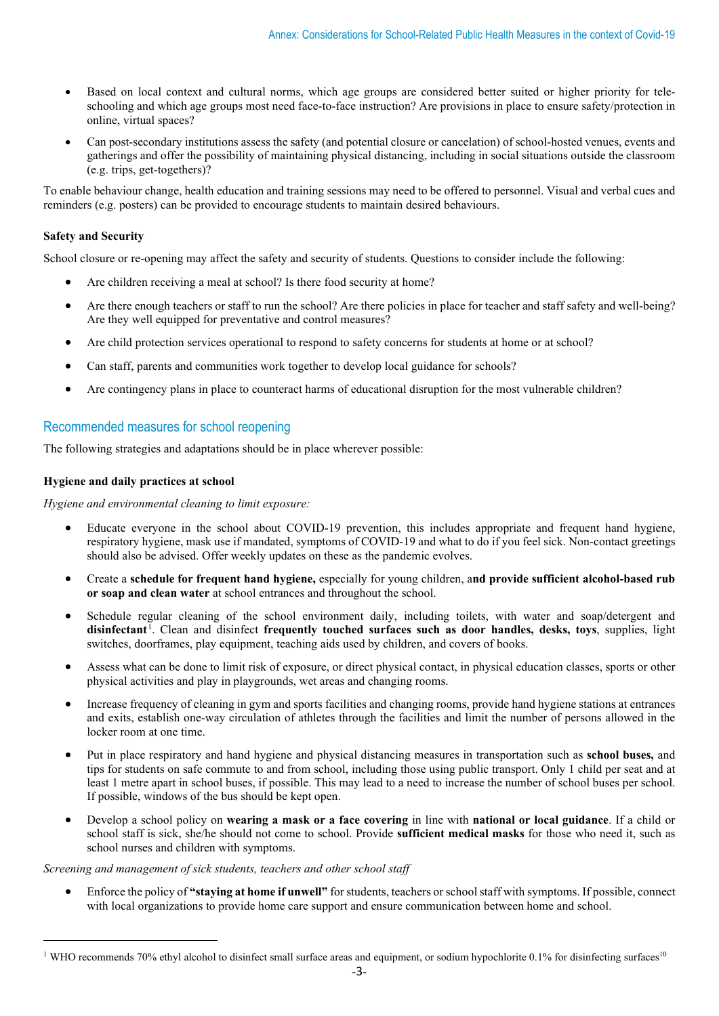- Based on local context and cultural norms, which age groups are considered better suited or higher priority for teleschooling and which age groups most need face-to-face instruction? Are provisions in place to ensure safety/protection in online, virtual spaces?
- Can post-secondary institutions assess the safety (and potential closure or cancelation) of school-hosted venues, events and gatherings and offer the possibility of maintaining physical distancing, including in social situations outside the classroom (e.g. trips, get-togethers)?

To enable behaviour change, health education and training sessions may need to be offered to personnel. Visual and verbal cues and reminders (e.g. posters) can be provided to encourage students to maintain desired behaviours.

## **Safety and Security**

School closure or re-opening may affect the safety and security of students. Questions to consider include the following:

- Are children receiving a meal at school? Is there food security at home?
- Are there enough teachers or staff to run the school? Are there policies in place for teacher and staff safety and well-being? Are they well equipped for preventative and control measures?
- Are child protection services operational to respond to safety concerns for students at home or at school?
- Can staff, parents and communities work together to develop local guidance for schools?
- Are contingency plans in place to counteract harms of educational disruption for the most vulnerable children?

## Recommended measures for school reopening

The following strategies and adaptations should be in place wherever possible:

## **Hygiene and daily practices at school**

*Hygiene and environmental cleaning to limit exposure:*

- Educate everyone in the school about COVID-19 prevention, this includes appropriate and frequent hand hygiene, respiratory hygiene, mask use if mandated, symptoms of COVID-19 and what to do if you feel sick. Non-contact greetings should also be advised. Offer weekly updates on these as the pandemic evolves.
- Create a **schedule for frequent hand hygiene,** especially for young children, a**nd provide sufficient alcohol-based rub or soap and clean water** at school entrances and throughout the school.
- Schedule regular cleaning of the school environment daily, including toilets, with water and soap/detergent and **disinfectant**[1](#page-2-0) . Clean and disinfect **frequently touched surfaces such as door handles, desks, toys**, supplies, light switches, doorframes, play equipment, teaching aids used by children, and covers of books.
- Assess what can be done to limit risk of exposure, or direct physical contact, in physical education classes, sports or other physical activities and play in playgrounds, wet areas and changing rooms.
- Increase frequency of cleaning in gym and sports facilities and changing rooms, provide hand hygiene stations at entrances and exits, establish one-way circulation of athletes through the facilities and limit the number of persons allowed in the locker room at one time.
- Put in place respiratory and hand hygiene and physical distancing measures in transportation such as **school buses,** and tips for students on safe commute to and from school, including those using public transport. Only 1 child per seat and at least 1 metre apart in school buses, if possible. This may lead to a need to increase the number of school buses per school. If possible, windows of the bus should be kept open.
- Develop a school policy on **wearing a mask or a face covering** in line with **national or local guidance**. If a child or school staff is sick, she/he should not come to school. Provide **sufficient medical masks** for those who need it, such as school nurses and children with symptoms.

## *Screening and management of sick students, teachers and other school staff*

• Enforce the policy of **"staying at home if unwell"** for students, teachers or school staff with symptoms. If possible, connect with local organizations to provide home care support and ensure communication between home and school.

<span id="page-2-0"></span><sup>&</sup>lt;sup>1</sup> WHO recommends 70% ethyl alcohol to disinfect small surface areas and equipment, or sodium hypochlorite 0.1% for disinfecting surfaces<sup>10</sup>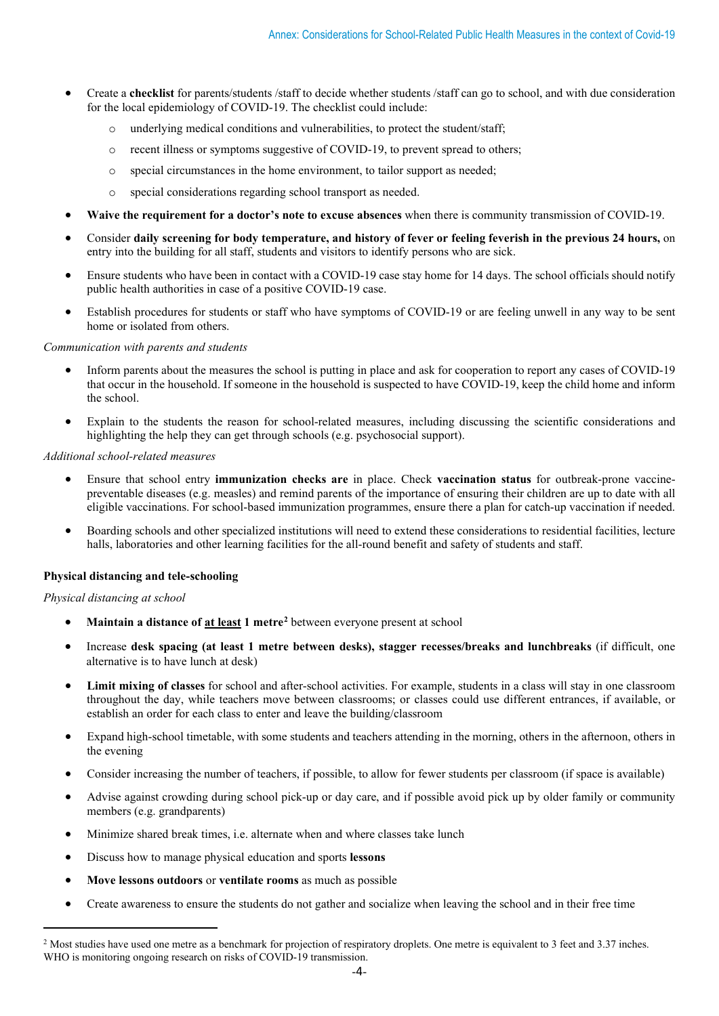- Create a **checklist** for parents/students /staff to decide whether students /staff can go to school, and with due consideration for the local epidemiology of COVID-19. The checklist could include:
	- $\circ$  underlying medical conditions and vulnerabilities, to protect the student/staff:
	- o recent illness or symptoms suggestive of COVID-19, to prevent spread to others;
	- o special circumstances in the home environment, to tailor support as needed;
	- o special considerations regarding school transport as needed.
- **Waive the requirement for a doctor's note to excuse absences** when there is community transmission of COVID-19.
- Consider **daily screening for body temperature, and history of fever or feeling feverish in the previous 24 hours,** on entry into the building for all staff, students and visitors to identify persons who are sick.
- Ensure students who have been in contact with a COVID-19 case stay home for 14 days. The school officials should notify public health authorities in case of a positive COVID-19 case.
- Establish procedures for students or staff who have symptoms of COVID-19 or are feeling unwell in any way to be sent home or isolated from others.

*Communication with parents and students*

- Inform parents about the measures the school is putting in place and ask for cooperation to report any cases of COVID-19 that occur in the household. If someone in the household is suspected to have COVID-19, keep the child home and inform the school.
- Explain to the students the reason for school-related measures, including discussing the scientific considerations and highlighting the help they can get through schools (e.g. psychosocial support).

*Additional school-related measures* 

- Ensure that school entry **immunization checks are** in place. Check **vaccination status** for outbreak-prone vaccinepreventable diseases (e.g. measles) and remind parents of the importance of ensuring their children are up to date with all eligible vaccinations. For school-based immunization programmes, ensure there a plan for catch-up vaccination if needed.
- Boarding schools and other specialized institutions will need to extend these considerations to residential facilities, lecture halls, laboratories and other learning facilities for the all-round benefit and safety of students and staff.

## **Physical distancing and tele-schooling**

## *Physical distancing at school*

- **Maintain a distance of at least 1 metre[2](#page-3-0)** between everyone present at school
- Increase **desk spacing (at least 1 metre between desks), stagger recesses/breaks and lunchbreaks** (if difficult, one alternative is to have lunch at desk)
- **Limit mixing of classes** for school and after-school activities. For example, students in a class will stay in one classroom throughout the day, while teachers move between classrooms; or classes could use different entrances, if available, or establish an order for each class to enter and leave the building/classroom
- Expand high-school timetable, with some students and teachers attending in the morning, others in the afternoon, others in the evening
- Consider increasing the number of teachers, if possible, to allow for fewer students per classroom (if space is available)
- Advise against crowding during school pick-up or day care, and if possible avoid pick up by older family or community members (e.g. grandparents)
- Minimize shared break times, i.e. alternate when and where classes take lunch
- Discuss how to manage physical education and sports **lessons**
- **Move lessons outdoors** or **ventilate rooms** as much as possible
- Create awareness to ensure the students do not gather and socialize when leaving the school and in their free time

<span id="page-3-0"></span><sup>&</sup>lt;sup>2</sup> Most studies have used one metre as a benchmark for projection of respiratory droplets. One metre is equivalent to 3 feet and 3.37 inches. WHO is monitoring ongoing research on risks of COVID-19 transmission.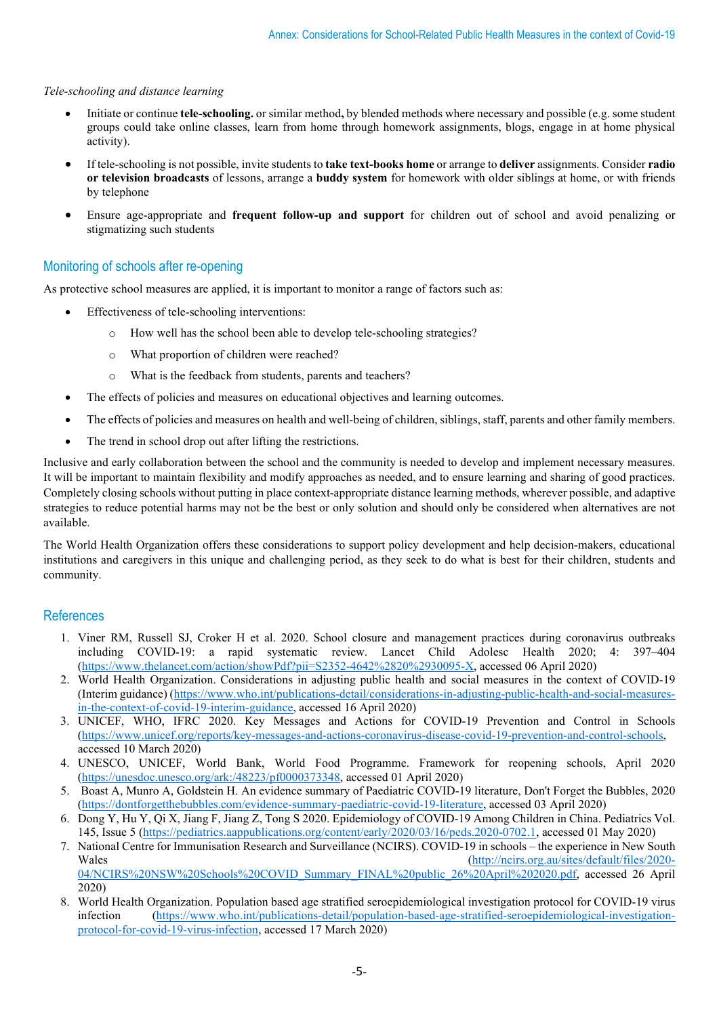## *Tele-schooling and distance learning*

- Initiate or continue **tele-schooling.** or similar method**,** by blended methods where necessary and possible (e.g. some student groups could take online classes, learn from home through homework assignments, blogs, engage in at home physical activity).
- If tele-schooling is not possible, invite students to **take text-books home** or arrange to **deliver** assignments. Consider **radio or television broadcasts** of lessons, arrange a **buddy system** for homework with older siblings at home, or with friends by telephone
- Ensure age-appropriate and **frequent follow-up and support** for children out of school and avoid penalizing or stigmatizing such students

## Monitoring of schools after re-opening

As protective school measures are applied, it is important to monitor a range of factors such as:

- Effectiveness of tele-schooling interventions:
	- o How well has the school been able to develop tele-schooling strategies?
	- o What proportion of children were reached?
	- o What is the feedback from students, parents and teachers?
- The effects of policies and measures on educational objectives and learning outcomes.
- The effects of policies and measures on health and well-being of children, siblings, staff, parents and other family members.
- The trend in school drop out after lifting the restrictions.

Inclusive and early collaboration between the school and the community is needed to develop and implement necessary measures. It will be important to maintain flexibility and modify approaches as needed, and to ensure learning and sharing of good practices. Completely closing schools without putting in place context-appropriate distance learning methods, wherever possible, and adaptive strategies to reduce potential harms may not be the best or only solution and should only be considered when alternatives are not available.

The World Health Organization offers these considerations to support policy development and help decision-makers, educational institutions and caregivers in this unique and challenging period, as they seek to do what is best for their children, students and community.

## References

- 1. Viner RM, Russell SJ, Croker H et al. 2020. School closure and management practices during coronavirus outbreaks including COVID-19: a rapid systematic review. Lancet Child Adolesc Health 2020; 4: 397–404 [\(https://www.thelancet.com/action/showPdf?pii=S2352-4642%2820%2930095-X,](https://www.thelancet.com/action/showPdf?pii=S2352-4642%2820%2930095-X) accessed 06 April 2020)
- 2. World Health Organization. Considerations in adjusting public health and social measures in the context of COVID-19 (Interim guidance) [\(https://www.who.int/publications-detail/considerations-in-adjusting-public-health-and-social-measures](https://www.who.int/publications-detail/considerations-in-adjusting-public-health-and-social-measures-in-the-context-of-covid-19-interim-guidance)[in-the-context-of-covid-19-interim-guidance,](https://www.who.int/publications-detail/considerations-in-adjusting-public-health-and-social-measures-in-the-context-of-covid-19-interim-guidance) accessed 16 April 2020)
- 3. UNICEF, WHO, IFRC 2020. Key Messages and Actions for COVID-19 Prevention and Control in Schools [\(https://www.unicef.org/reports/key-messages-and-actions-coronavirus-disease-covid-19-prevention-and-control-schools,](https://www.unicef.org/reports/key-messages-and-actions-coronavirus-disease-covid-19-prevention-and-control-schools) accessed 10 March 2020)
- 4. UNESCO, UNICEF, World Bank, World Food Programme. Framework for reopening schools, April 2020 [\(https://unesdoc.unesco.org/ark:/48223/pf0000373348,](https://unesdoc.unesco.org/ark:/48223/pf0000373348) accessed 01 April 2020)
- 5. Boast A, Munro A, Goldstein H. An evidence summary of Paediatric COVID-19 literature, Don't Forget the Bubbles, 2020 [\(https://dontforgetthebubbles.com/evidence-summary-paediatric-covid-19-literature,](https://dontforgetthebubbles.com/evidence-summary-paediatric-covid-19-literature) accessed 03 April 2020)
- 6. Dong Y, Hu Y, Qi X, Jiang F, Jiang Z, Tong S 2020. Epidemiology of COVID-19 Among Children in China. Pediatrics Vol. 145, Issue 5 [\(https://pediatrics.aappublications.org/content/early/2020/03/16/peds.2020-0702.1,](https://pediatrics.aappublications.org/content/early/2020/03/16/peds.2020-0702.1) accessed 01 May 2020)
- 7. National Centre for Immunisation Research and Surveillance (NCIRS). COVID-19 in schools the experience in New South Wales [\(http://ncirs.org.au/sites/default/files/2020-](http://ncirs.org.au/sites/default/files/2020-04/NCIRS%20NSW%20Schools%20COVID_Summary_FINAL%20public_26%20April%202020.pdf) [04/NCIRS%20NSW%20Schools%20COVID\\_Summary\\_FINAL%20public\\_26%20April%202020.pdf,](http://ncirs.org.au/sites/default/files/2020-04/NCIRS%20NSW%20Schools%20COVID_Summary_FINAL%20public_26%20April%202020.pdf) accessed 26 April 2020)
- 8. World Health Organization. Population based age stratified seroepidemiological investigation protocol for COVID-19 virus infection [\(https://www.who.int/publications-detail/population-based-age-stratified-seroepidemiological-investigation](https://www.who.int/publications-detail/population-based-age-stratified-seroepidemiological-investigation-protocol-for-covid-19-virus-infection)[protocol-for-covid-19-virus-infection,](https://www.who.int/publications-detail/population-based-age-stratified-seroepidemiological-investigation-protocol-for-covid-19-virus-infection) accessed 17 March 2020)